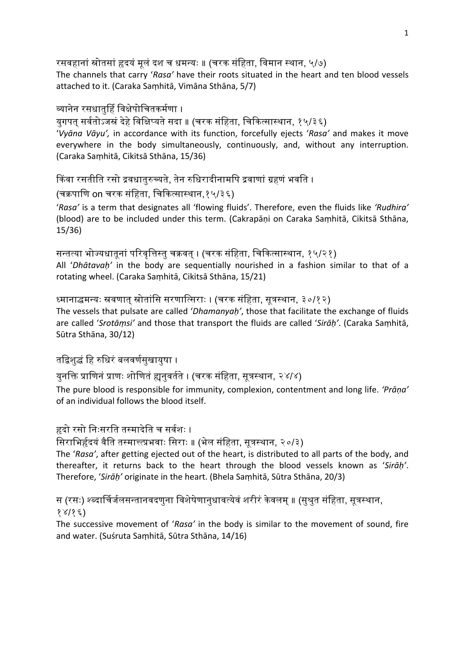रसवहानां स्रोतसां हृदयं मलं दश च धमन्यः ॥ (चरक संहिता, विमान स्थान, ५/७)

The channels that carry '*Rasa'* have their roots situated in the heart and ten blood vessels attached to it. (Caraka Saṃhitā, Vimāna Sthāna, 5/7)

#### ᳞ानेन रसधातुिह िवक्षेपोिचतकमर्णा ।

युगपत् सर्वतोऽजस्रं देहे विक्षिप्यते सदा ॥ (चरक संहिता, चिकित्सास्थान, १५/३६)

'*Vyāna Vāyu',* in accordance with its function, forcefully ejects '*Rasa'* and makes it move everywhere in the body simultaneously, continuously, and, without any interruption. (Caraka Saṃhitā, Cikitsā Sthāna, 15/36)

किंवा रसतीति रसो द्रवधातरुच्यते. तेन रुधिरादीनामपि द्रवाणां ग्रहणं भवति ।

(चक्रपाणि on चरक संहिता, चिकित्सास्थान,१५/३६)

'*Rasa'* is a term that designates all 'flowing fluids'. Therefore, even the fluids like *'Rudhira'* (blood) are to be included under this term. (Cakrapāṇi on Caraka Saṃhitā, Cikitsā Sthāna, 15/36)

सन्तत्या भोज्यधातूनां परिवृत्तिस्तु चक्रवत् । (चरक संहिता, चिकित्सास्थान, १५/२१) All '*Dhātavaḥ'* in the body are sequentially nourished in a fashion similar to that of a rotating wheel. (Caraka Saṃhitā, Cikitsā Sthāna, 15/21)

#### ध्मानाद्धमन्यः स्रवणात स्रोतांसि सरणात्सिराः । (चरक संहिता, सूत्रस्थान, ३०/१२)

The vessels that pulsate are called '*Dhamanyaḥ'*, those that facilitate the exchange of fluids are called '*Srotāṃsi'* and those that transport the fluids are called '*Sirāḥ'*. (Caraka Saṃhitā, Sūtra Sthāna, 30/12)

### तद्विशुद्धं हि रुधिरं बलवर्णसुखायुषा ।

युनक्ति प्राणिनं प्राणः शोणितं ह्यनुवर्तते । (चरक संहिता, सूत्रस्थान, २४/४)

The pure blood is responsible for immunity, complexion, contentment and long life. *'Prāṇa'* of an individual follows the blood itself.

### हृदो रसो निःसरति तस्मादेति च सर्वशः ।

सिराभिर्हृदयं वैति तस्मात्त्त्प्रभवाः सिराः ॥ (भेल संहिता, सूत्रस्थान, २०/३)

The '*Rasa'*, after getting ejected out of the heart, is distributed to all parts of the body, and thereafter, it returns back to the heart through the blood vessels known as '*Sirāḥ'*. Therefore, '*Sirāḥ'* originate in the heart. (Bhela Saṃhitā, Sūtra Sthāna, 20/3)

स (रसः) श्ब्दार्चिर्जलसन्तानवदणुना विशेषेणानुधावत्येवं शरीरं केवलम् ॥ (सुश्रुत संहिता, सूत्रस्थान,

 $8 \times 185$ 

The successive movement of '*Rasa'* in the body is similar to the movement of sound, fire and water. (Suśruta Saṃhitā, Sūtra Sthāna, 14/16)